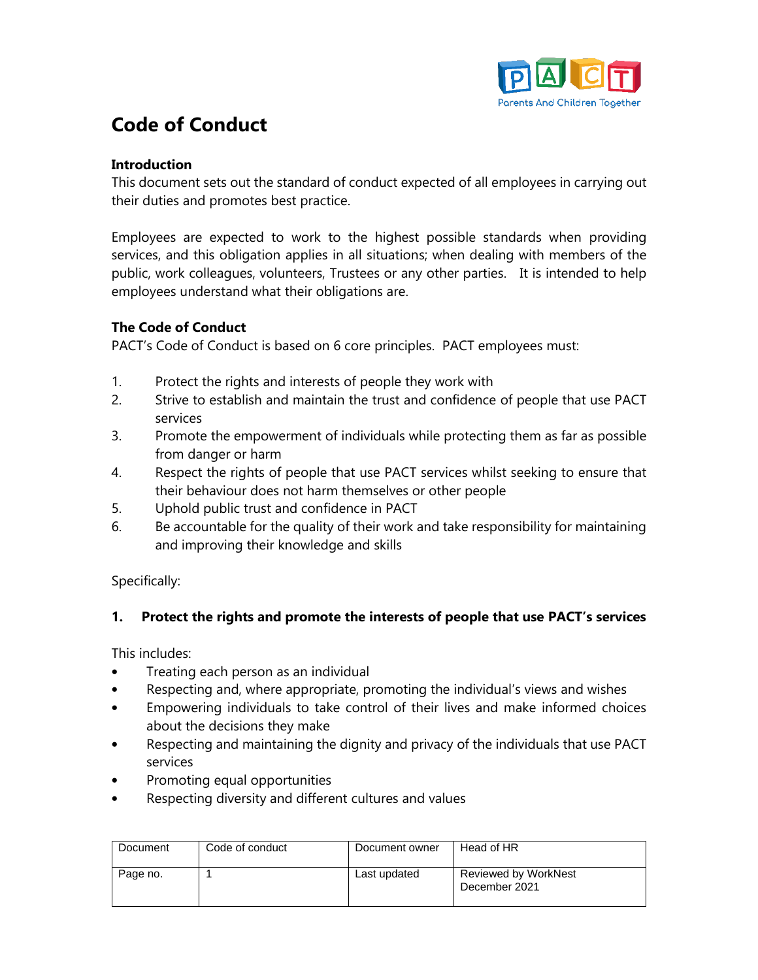

# **Code of Conduct**

#### **Introduction**

This document sets out the standard of conduct expected of all employees in carrying out their duties and promotes best practice.

Employees are expected to work to the highest possible standards when providing services, and this obligation applies in all situations; when dealing with members of the public, work colleagues, volunteers, Trustees or any other parties. It is intended to help employees understand what their obligations are.

#### **The Code of Conduct**

PACT's Code of Conduct is based on 6 core principles. PACT employees must:

- 1. Protect the rights and interests of people they work with
- 2. Strive to establish and maintain the trust and confidence of people that use PACT services
- 3. Promote the empowerment of individuals while protecting them as far as possible from danger or harm
- 4. Respect the rights of people that use PACT services whilst seeking to ensure that their behaviour does not harm themselves or other people
- 5. Uphold public trust and confidence in PACT
- 6. Be accountable for the quality of their work and take responsibility for maintaining and improving their knowledge and skills

Specifically:

#### **1. Protect the rights and promote the interests of people that use PACT's services**

This includes:

- Treating each person as an individual
- Respecting and, where appropriate, promoting the individual's views and wishes
- Empowering individuals to take control of their lives and make informed choices about the decisions they make
- Respecting and maintaining the dignity and privacy of the individuals that use PACT services
- Promoting equal opportunities
- Respecting diversity and different cultures and values

| Document | Code of conduct | Document owner | Head of HR                                   |
|----------|-----------------|----------------|----------------------------------------------|
| Page no. |                 | Last updated   | <b>Reviewed by WorkNest</b><br>December 2021 |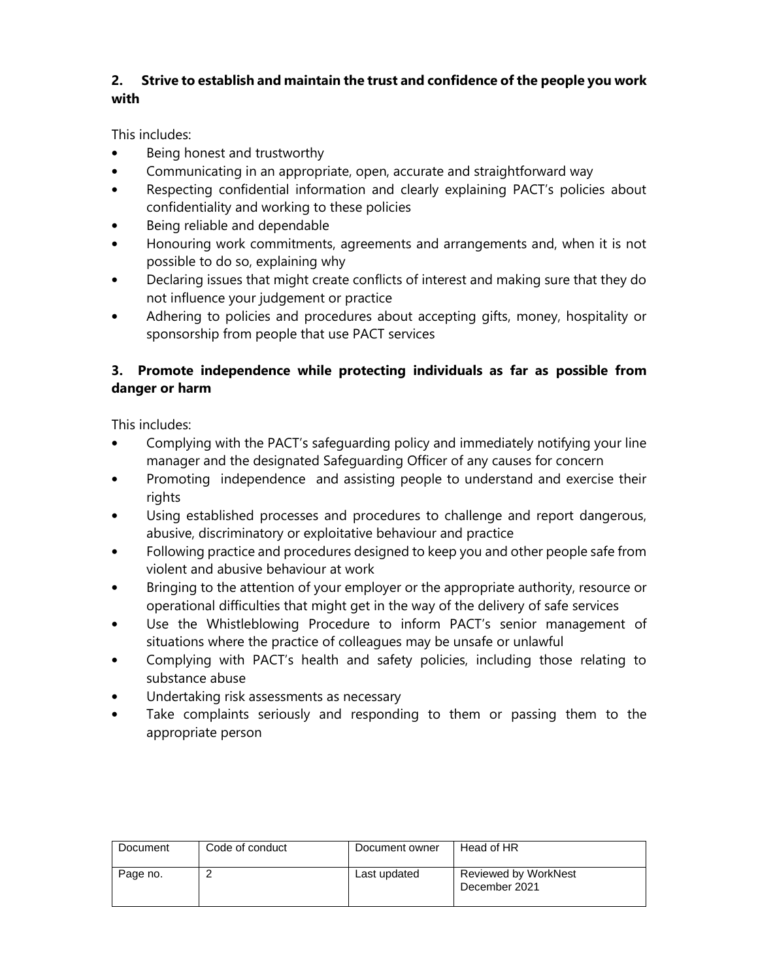## **2. Strive to establish and maintain the trust and confidence of the people you work with**

This includes:

- Being honest and trustworthy
- Communicating in an appropriate, open, accurate and straightforward way
- Respecting confidential information and clearly explaining PACT's policies about confidentiality and working to these policies
- Being reliable and dependable
- Honouring work commitments, agreements and arrangements and, when it is not possible to do so, explaining why
- Declaring issues that might create conflicts of interest and making sure that they do not influence your judgement or practice
- Adhering to policies and procedures about accepting gifts, money, hospitality or sponsorship from people that use PACT services

### **3. Promote independence while protecting individuals as far as possible from danger or harm**

This includes:

- Complying with the PACT's safeguarding policy and immediately notifying your line manager and the designated Safeguarding Officer of any causes for concern
- Promoting independence and assisting people to understand and exercise their rights
- Using established processes and procedures to challenge and report dangerous, abusive, discriminatory or exploitative behaviour and practice
- Following practice and procedures designed to keep you and other people safe from violent and abusive behaviour at work
- Bringing to the attention of your employer or the appropriate authority, resource or operational difficulties that might get in the way of the delivery of safe services
- Use the Whistleblowing Procedure to inform PACT's senior management of situations where the practice of colleagues may be unsafe or unlawful
- Complying with PACT's health and safety policies, including those relating to substance abuse
- Undertaking risk assessments as necessary
- Take complaints seriously and responding to them or passing them to the appropriate person

| Document | Code of conduct | Document owner | Head of HR                                   |
|----------|-----------------|----------------|----------------------------------------------|
| Page no. |                 | Last updated   | <b>Reviewed by WorkNest</b><br>December 2021 |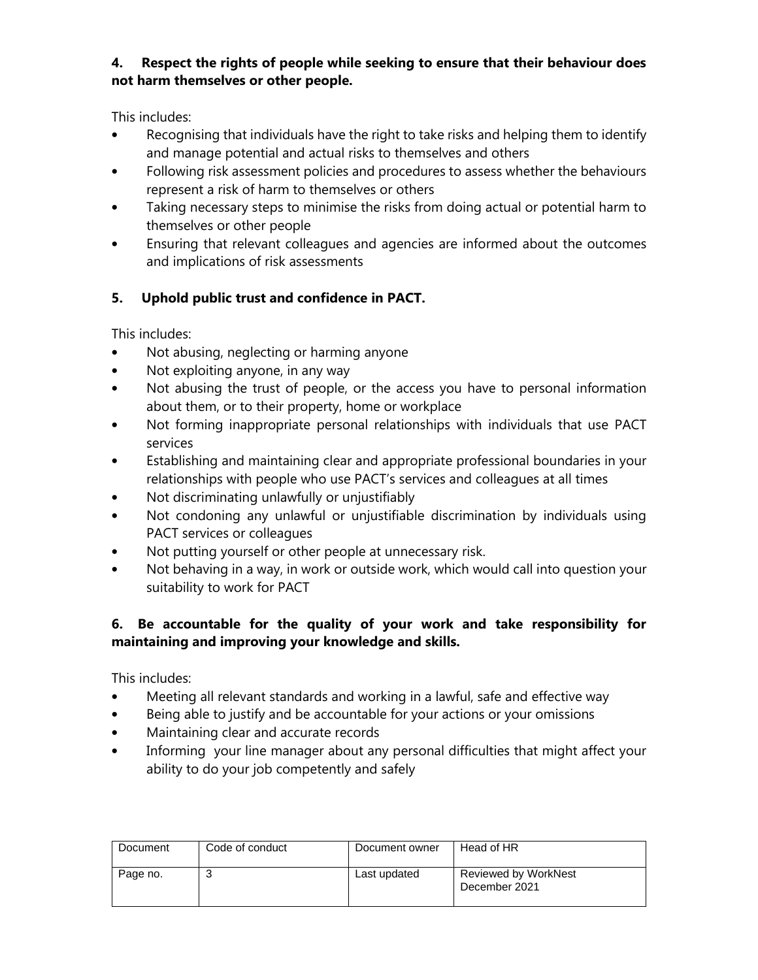#### **4. Respect the rights of people while seeking to ensure that their behaviour does not harm themselves or other people.**

This includes:

- Recognising that individuals have the right to take risks and helping them to identify and manage potential and actual risks to themselves and others
- Following risk assessment policies and procedures to assess whether the behaviours represent a risk of harm to themselves or others
- Taking necessary steps to minimise the risks from doing actual or potential harm to themselves or other people
- Ensuring that relevant colleagues and agencies are informed about the outcomes and implications of risk assessments

## **5. Uphold public trust and confidence in PACT.**

This includes:

- Not abusing, neglecting or harming anyone
- Not exploiting anyone, in any way
- Not abusing the trust of people, or the access you have to personal information about them, or to their property, home or workplace
- Not forming inappropriate personal relationships with individuals that use PACT services
- Establishing and maintaining clear and appropriate professional boundaries in your relationships with people who use PACT's services and colleagues at all times
- Not discriminating unlawfully or unjustifiably
- Not condoning any unlawful or unjustifiable discrimination by individuals using PACT services or colleagues
- Not putting yourself or other people at unnecessary risk.
- Not behaving in a way, in work or outside work, which would call into question your suitability to work for PACT

## **6. Be accountable for the quality of your work and take responsibility for maintaining and improving your knowledge and skills.**

This includes:

- Meeting all relevant standards and working in a lawful, safe and effective way
- Being able to justify and be accountable for your actions or your omissions
- Maintaining clear and accurate records
- Informing your line manager about any personal difficulties that might affect your ability to do your job competently and safely

| Document | Code of conduct | Document owner | Head of HR                                   |
|----------|-----------------|----------------|----------------------------------------------|
| Page no. |                 | Last updated   | <b>Reviewed by WorkNest</b><br>December 2021 |